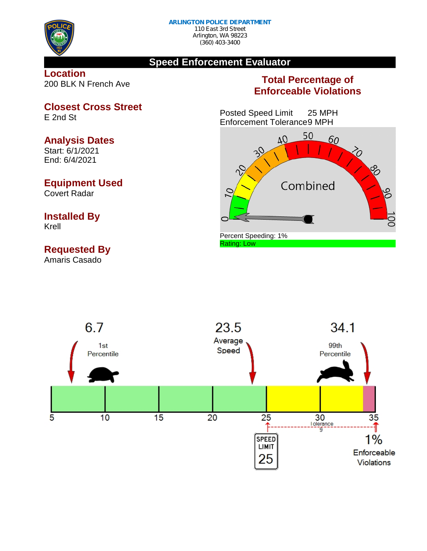

# **Speed Enforcement Evaluator**

**Location** 200 BLK N French Ave

# **Total Percentage of Enforceable Violations**

Posted Speed Limit 25 MPH Enforcement Tolerance9 MPH





**Closest Cross Street**

E 2nd St

## **Analysis Dates**

Start: 6/1/2021 End: 6/4/2021

# **Equipment Used**

Covert Radar

## **Installed By** Krell

# **Requested By**

Amaris Casado